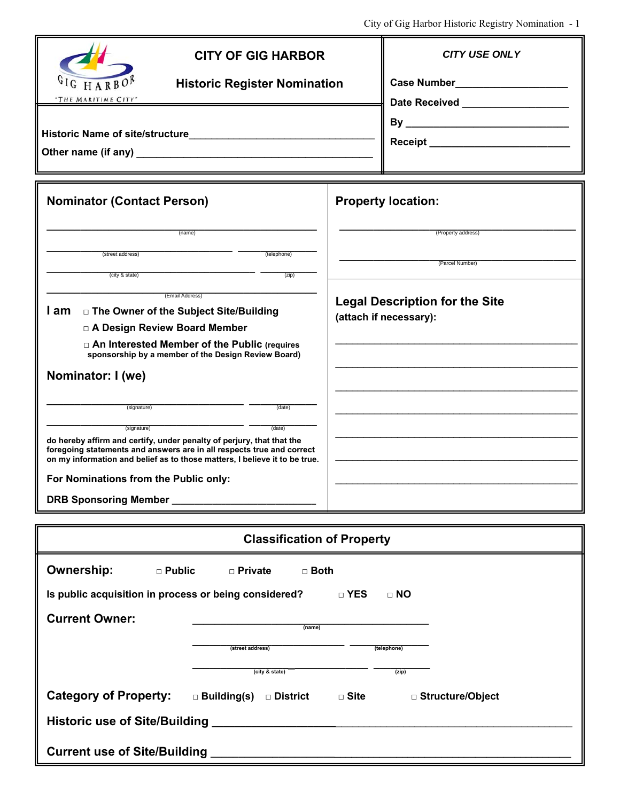| <b>CITY OF GIG HARBOR</b><br>H A R B O <sup>1</sup><br><b>Historic Register Nomination</b><br>"THE MARITIME CITY"                                                                                                                                     | $\mathcal{L}$ ну от $\mathcal{L}$ и таноот тизноте технолу тубиннацион – т<br><b>CITY USE ONLY</b><br>Date Received _____________________ |  |  |  |  |
|-------------------------------------------------------------------------------------------------------------------------------------------------------------------------------------------------------------------------------------------------------|-------------------------------------------------------------------------------------------------------------------------------------------|--|--|--|--|
|                                                                                                                                                                                                                                                       | Receipt ____________________________                                                                                                      |  |  |  |  |
| <b>Nominator (Contact Person)</b>                                                                                                                                                                                                                     | <b>Property location:</b>                                                                                                                 |  |  |  |  |
| (name)<br>(street address)<br>(telephone)<br>(city & state)<br>(zip)                                                                                                                                                                                  | (Property address)<br>(Parcel Number)                                                                                                     |  |  |  |  |
| (Email Address)<br>l am<br>□ The Owner of the Subject Site/Building<br>□ A Design Review Board Member<br>□ An Interested Member of the Public (requires<br>sponsorship by a member of the Design Review Board)                                        | <b>Legal Description for the Site</b><br>(attach if necessary):                                                                           |  |  |  |  |
| Nominator: I (we)<br>(signature)<br>(date)                                                                                                                                                                                                            |                                                                                                                                           |  |  |  |  |
| (date)<br>(signature)<br>do hereby affirm and certify, under penalty of perjury, that that the<br>foregoing statements and answers are in all respects true and correct<br>on my information and belief as to those matters, I believe it to be true. |                                                                                                                                           |  |  |  |  |
| For Nominations from the Public only:<br>DRB Sponsoring Member ____________________________                                                                                                                                                           |                                                                                                                                           |  |  |  |  |
| <b>Classification of Property</b>                                                                                                                                                                                                                     |                                                                                                                                           |  |  |  |  |
| <b>Ownership:</b><br>$\square$ Public<br>□ Private<br>$\Box$ Both<br>Is public acquisition in process or being considered?<br><b>Current Owner:</b><br>(name)<br>(street address)<br>(city & state)                                                   | □ YES<br>$\Box$ NO<br>(telephone)<br>(zip)                                                                                                |  |  |  |  |
| Category of Property: $\Box$ Building(s) $\Box$ District $\Box$ Site                                                                                                                                                                                  | □ Structure/Object                                                                                                                        |  |  |  |  |
|                                                                                                                                                                                                                                                       |                                                                                                                                           |  |  |  |  |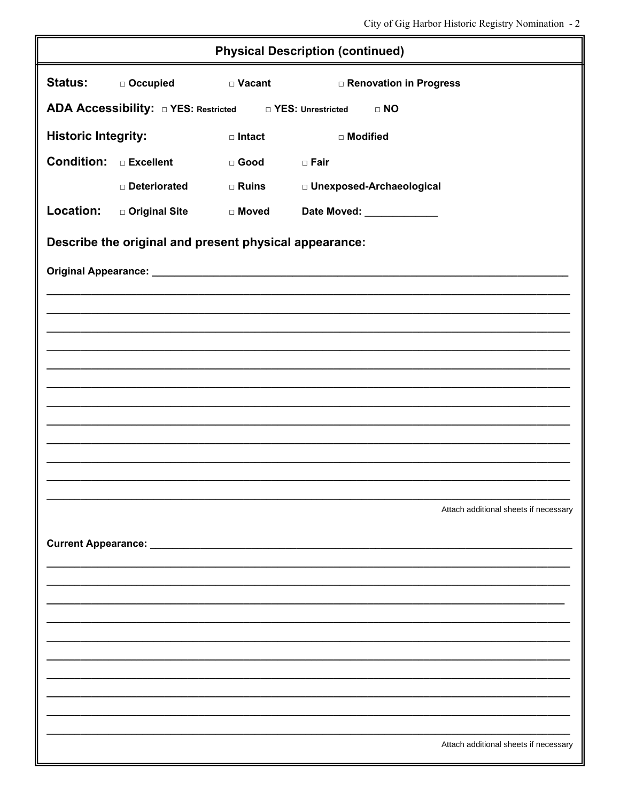| <b>Physical Description (continued)</b>                                 |                                                        |                  |                                 |                                       |  |
|-------------------------------------------------------------------------|--------------------------------------------------------|------------------|---------------------------------|---------------------------------------|--|
| <b>Status:</b>                                                          | □ Occupied                                             | $\square$ Vacant | <b>D</b> Renovation in Progress |                                       |  |
| ADA Accessibility: 0 YES: Restricted 0 1 YES: Unrestricted<br>$\Box$ NO |                                                        |                  |                                 |                                       |  |
| <b>Historic Integrity:</b>                                              |                                                        | $\Box$ Intact    | □ Modified                      |                                       |  |
| <b>Condition:</b> DExcellent                                            |                                                        | $\square$ Good   | $\square$ Fair                  |                                       |  |
|                                                                         | Deteriorated                                           | □ Ruins          | □ Unexposed-Archaeological      |                                       |  |
| Location:                                                               | □ Original Site                                        | □ Moved          | Date Moved: _____________       |                                       |  |
|                                                                         | Describe the original and present physical appearance: |                  |                                 |                                       |  |
|                                                                         |                                                        |                  |                                 |                                       |  |
|                                                                         |                                                        |                  |                                 |                                       |  |
|                                                                         |                                                        |                  |                                 |                                       |  |
|                                                                         |                                                        |                  |                                 |                                       |  |
|                                                                         |                                                        |                  |                                 |                                       |  |
|                                                                         |                                                        |                  |                                 |                                       |  |
|                                                                         |                                                        |                  |                                 |                                       |  |
|                                                                         |                                                        |                  |                                 |                                       |  |
|                                                                         |                                                        |                  |                                 |                                       |  |
|                                                                         |                                                        |                  |                                 | Attach additional sheets if necessary |  |
|                                                                         |                                                        |                  |                                 |                                       |  |
|                                                                         |                                                        |                  |                                 |                                       |  |
|                                                                         |                                                        |                  |                                 |                                       |  |
|                                                                         |                                                        |                  |                                 |                                       |  |
|                                                                         |                                                        |                  |                                 |                                       |  |
|                                                                         |                                                        |                  |                                 |                                       |  |
|                                                                         |                                                        |                  |                                 |                                       |  |
|                                                                         |                                                        |                  |                                 |                                       |  |
|                                                                         |                                                        |                  |                                 | Attach additional sheets if necessary |  |
|                                                                         |                                                        |                  |                                 |                                       |  |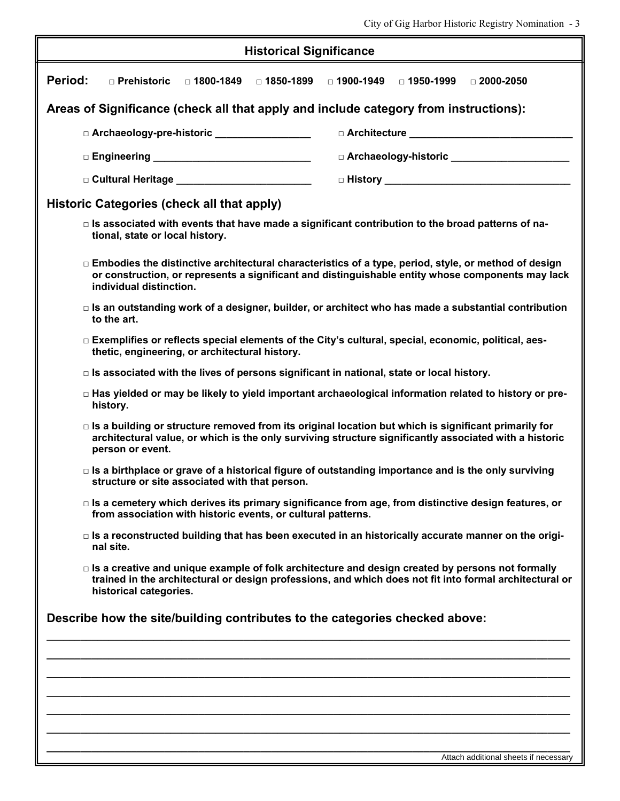City of Gig Harbor Historic Registry Nomination - 3

| <b>Historical Significance</b>                                                                                                                                                                                                               |                                                                                                                                                                                                                  |  |  |  |
|----------------------------------------------------------------------------------------------------------------------------------------------------------------------------------------------------------------------------------------------|------------------------------------------------------------------------------------------------------------------------------------------------------------------------------------------------------------------|--|--|--|
| Period:<br>□ Prehistoric<br>□ 1800-1849<br>□ 1850-1899                                                                                                                                                                                       | □ 1900-1949<br>□ 1950-1999<br>$\Box$ 2000-2050                                                                                                                                                                   |  |  |  |
| Areas of Significance (check all that apply and include category from instructions):                                                                                                                                                         |                                                                                                                                                                                                                  |  |  |  |
| D Archaeology-pre-historic _________________                                                                                                                                                                                                 | $\Box$ Architecture $\Box$                                                                                                                                                                                       |  |  |  |
| □ Engineering _________________________________                                                                                                                                                                                              | □ Archaeology-historic ______________________                                                                                                                                                                    |  |  |  |
| □ Cultural Heritage <u>New York New York New York New York New York New York New York New York New York New York New York New York New York New York New York New York New York New York New York New York New York New York Ne</u>          |                                                                                                                                                                                                                  |  |  |  |
| Historic Categories (check all that apply)                                                                                                                                                                                                   |                                                                                                                                                                                                                  |  |  |  |
| tional, state or local history.                                                                                                                                                                                                              | $\Box$ Is associated with events that have made a significant contribution to the broad patterns of na-                                                                                                          |  |  |  |
| individual distinction.                                                                                                                                                                                                                      | $\Box$ Embodies the distinctive architectural characteristics of a type, period, style, or method of design<br>or construction, or represents a significant and distinguishable entity whose components may lack |  |  |  |
| to the art.                                                                                                                                                                                                                                  | $\Box$ Is an outstanding work of a designer, builder, or architect who has made a substantial contribution                                                                                                       |  |  |  |
| thetic, engineering, or architectural history.                                                                                                                                                                                               | □ Exemplifies or reflects special elements of the City's cultural, special, economic, political, aes-                                                                                                            |  |  |  |
| $\Box$ Is associated with the lives of persons significant in national, state or local history.                                                                                                                                              |                                                                                                                                                                                                                  |  |  |  |
| $\Box$ Has yielded or may be likely to yield important archaeological information related to history or pre-<br>history.                                                                                                                     |                                                                                                                                                                                                                  |  |  |  |
| □ Is a building or structure removed from its original location but which is significant primarily for<br>architectural value, or which is the only surviving structure significantly associated with a historic<br>person or event.         |                                                                                                                                                                                                                  |  |  |  |
| structure or site associated with that person.                                                                                                                                                                                               | $\Box$ Is a birthplace or grave of a historical figure of outstanding importance and is the only surviving                                                                                                       |  |  |  |
| $\Box$ Is a cemetery which derives its primary significance from age, from distinctive design features, or<br>from association with historic events, or cultural patterns.                                                                   |                                                                                                                                                                                                                  |  |  |  |
| nal site.                                                                                                                                                                                                                                    | $\Box$ Is a reconstructed building that has been executed in an historically accurate manner on the origi-                                                                                                       |  |  |  |
| $\Box$ Is a creative and unique example of folk architecture and design created by persons not formally<br>trained in the architectural or design professions, and which does not fit into formal architectural or<br>historical categories. |                                                                                                                                                                                                                  |  |  |  |
| Describe how the site/building contributes to the categories checked above:                                                                                                                                                                  |                                                                                                                                                                                                                  |  |  |  |
|                                                                                                                                                                                                                                              |                                                                                                                                                                                                                  |  |  |  |
|                                                                                                                                                                                                                                              |                                                                                                                                                                                                                  |  |  |  |
|                                                                                                                                                                                                                                              |                                                                                                                                                                                                                  |  |  |  |
|                                                                                                                                                                                                                                              |                                                                                                                                                                                                                  |  |  |  |
|                                                                                                                                                                                                                                              |                                                                                                                                                                                                                  |  |  |  |
|                                                                                                                                                                                                                                              | Attach additional sheets if necessary                                                                                                                                                                            |  |  |  |